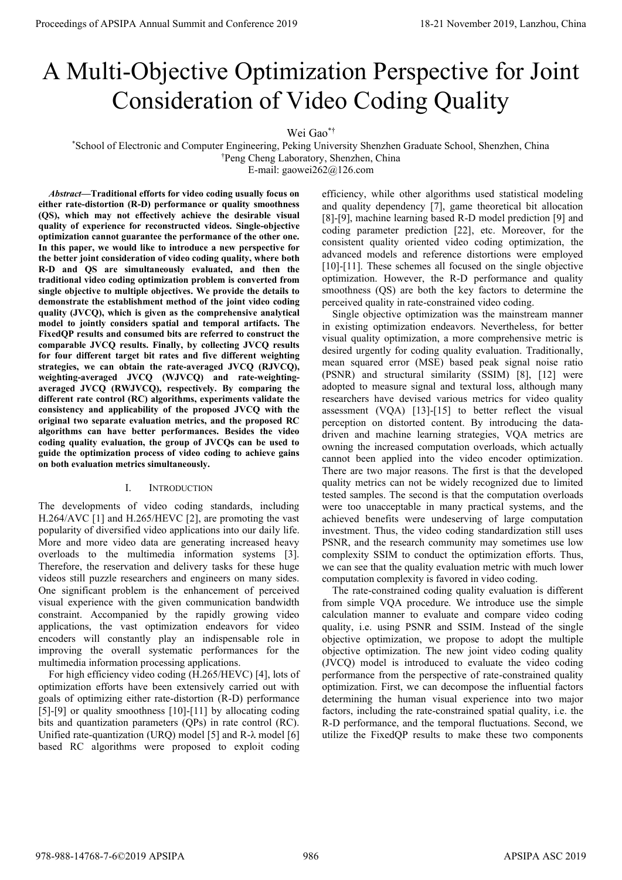# A Multi-Objective Optimization Perspective for Joint Consideration of Video Coding Quality

# Wei Gao\*†

\*School of Electronic and Computer Engineering, Peking University Shenzhen Graduate School, Shenzhen, China †Peng Cheng Laboratory, Shenzhen, China

E-mail: gaowei262@126.com

*Abstract***—Traditional efforts for video coding usually focus on either rate-distortion (R-D) performance or quality smoothness (QS), which may not effectively achieve the desirable visual quality of experience for reconstructed videos. Single-objective optimization cannot guarantee the performance of the other one. In this paper, we would like to introduce a new perspective for the better joint consideration of video coding quality, where both R-D and QS are simultaneously evaluated, and then the traditional video coding optimization problem is converted from single objective to multiple objectives. We provide the details to demonstrate the establishment method of the joint video coding quality (JVCQ), which is given as the comprehensive analytical model to jointly considers spatial and temporal artifacts. The FixedQP results and consumed bits are referred to construct the comparable JVCQ results. Finally, by collecting JVCQ results for four different target bit rates and five different weighting strategies, we can obtain the rate-averaged JVCQ (RJVCQ), weighting-averaged JVCQ (WJVCQ) and rate-weightingaveraged JVCQ (RWJVCQ), respectively. By comparing the different rate control (RC) algorithms, experiments validate the consistency and applicability of the proposed JVCQ with the original two separate evaluation metrics, and the proposed RC algorithms can have better performances. Besides the video coding quality evaluation, the group of JVCQs can be used to guide the optimization process of video coding to achieve gains on both evaluation metrics simultaneously.**  Proceedings of APSIPA Annual Summit and Conference 2019<br>
A Multi-Objective Optimization Perspective for Joint Consideration<br>
State of Electronic annual Summit and Conference 2019<br>
State of Electronic annual Summit and Con

### I. INTRODUCTION

The developments of video coding standards, including H.264/AVC [1] and H.265/HEVC [2], are promoting the vast popularity of diversified video applications into our daily life. More and more video data are generating increased heavy overloads to the multimedia information systems [3]. Therefore, the reservation and delivery tasks for these huge videos still puzzle researchers and engineers on many sides. One significant problem is the enhancement of perceived visual experience with the given communication bandwidth constraint. Accompanied by the rapidly growing video applications, the vast optimization endeavors for video encoders will constantly play an indispensable role in improving the overall systematic performances for the multimedia information processing applications.

For high efficiency video coding (H.265/HEVC) [4], lots of optimization efforts have been extensively carried out with goals of optimizing either rate-distortion (R-D) performance [5]-[9] or quality smoothness [10]-[11] by allocating coding bits and quantization parameters (QPs) in rate control (RC). Unified rate-quantization (URQ) model [5] and R-λ model [6] based RC algorithms were proposed to exploit coding efficiency, while other algorithms used statistical modeling and quality dependency [7], game theoretical bit allocation [8]-[9], machine learning based R-D model prediction [9] and coding parameter prediction [22], etc. Moreover, for the consistent quality oriented video coding optimization, the advanced models and reference distortions were employed [10]-[11]. These schemes all focused on the single objective optimization. However, the R-D performance and quality smoothness (QS) are both the key factors to determine the perceived quality in rate-constrained video coding.

Single objective optimization was the mainstream manner in existing optimization endeavors. Nevertheless, for better visual quality optimization, a more comprehensive metric is desired urgently for coding quality evaluation. Traditionally, mean squared error (MSE) based peak signal noise ratio (PSNR) and structural similarity (SSIM) [8], [12] were adopted to measure signal and textural loss, although many researchers have devised various metrics for video quality assessment (VQA) [13]-[15] to better reflect the visual perception on distorted content. By introducing the datadriven and machine learning strategies, VQA metrics are owning the increased computation overloads, which actually cannot been applied into the video encoder optimization. There are two major reasons. The first is that the developed quality metrics can not be widely recognized due to limited tested samples. The second is that the computation overloads were too unacceptable in many practical systems, and the achieved benefits were undeserving of large computation investment. Thus, the video coding standardization still uses PSNR, and the research community may sometimes use low complexity SSIM to conduct the optimization efforts. Thus, we can see that the quality evaluation metric with much lower computation complexity is favored in video coding.

The rate-constrained coding quality evaluation is different from simple VQA procedure. We introduce use the simple calculation manner to evaluate and compare video coding quality, i.e. using PSNR and SSIM. Instead of the single objective optimization, we propose to adopt the multiple objective optimization. The new joint video coding quality (JVCQ) model is introduced to evaluate the video coding performance from the perspective of rate-constrained quality optimization. First, we can decompose the influential factors determining the human visual experience into two major factors, including the rate-constrained spatial quality, i.e. the R-D performance, and the temporal fluctuations. Second, we utilize the FixedQP results to make these two components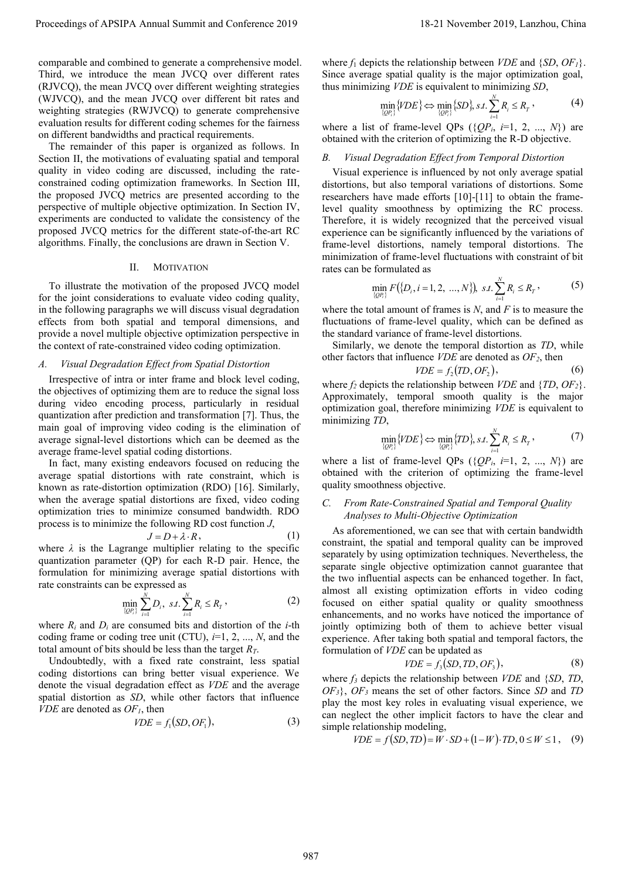comparable and combined to generate a comprehensive model. Third, we introduce the mean JVCQ over different rates (RJVCQ), the mean JVCQ over different weighting strategies (WJVCQ), and the mean JVCQ over different bit rates and weighting strategies (RWJVCQ) to generate comprehensive evaluation results for different coding schemes for the fairness on different bandwidths and practical requirements.

The remainder of this paper is organized as follows. In Section II, the motivations of evaluating spatial and temporal quality in video coding are discussed, including the rateconstrained coding optimization frameworks. In Section III, the proposed JVCQ metrics are presented according to the perspective of multiple objective optimization. In Section IV, experiments are conducted to validate the consistency of the proposed JVCQ metrics for the different state-of-the-art RC algorithms. Finally, the conclusions are drawn in Section V.

## II. MOTIVATION

To illustrate the motivation of the proposed JVCQ model for the joint considerations to evaluate video coding quality, in the following paragraphs we will discuss visual degradation effects from both spatial and temporal dimensions, and provide a novel multiple objective optimization perspective in the context of rate-constrained video coding optimization.

## *A. Visual Degradation Effect from Spatial Distortion*

Irrespective of intra or inter frame and block level coding, the objectives of optimizing them are to reduce the signal loss during video encoding process, particularly in residual quantization after prediction and transformation [7]. Thus, the main goal of improving video coding is the elimination of average signal-level distortions which can be deemed as the average frame-level spatial coding distortions.

In fact, many existing endeavors focused on reducing the average spatial distortions with rate constraint, which is known as rate-distortion optimization (RDO) [16]. Similarly, when the average spatial distortions are fixed, video coding optimization tries to minimize consumed bandwidth. RDO process is to minimize the following RD cost function *J*,

$$
J = D + \lambda \cdot R, \tag{1}
$$

where  $\lambda$  is the Lagrange multiplier relating to the specific quantization parameter (QP) for each R-D pair. Hence, the formulation for minimizing average spatial distortions with rate constraints can be expressed as

$$
\min_{\{QP_i\}} \sum_{i=1}^N D_i, \ s.t. \sum_{i=1}^N R_i \le R_T,
$$
\n(2)

where  $R_i$  and  $D_i$  are consumed bits and distortion of the *i*-th coding frame or coding tree unit (CTU), *i*=1, 2, ..., *N*, and the total amount of bits should be less than the target *RT*.

Undoubtedly, with a fixed rate constraint, less spatial coding distortions can bring better visual experience. We denote the visual degradation effect as *VDE* and the average spatial distortion as *SD*, while other factors that influence *VDE* are denoted as *OF1*, then

$$
VDE = f_1(SD, OF_1), \tag{3}
$$

where  $f_1$  depicts the relationship between *VDE* and  $\{SD, OF_I\}$ . Since average spatial quality is the major optimization goal,

thus minimizing *VDE* is equivalent to minimizing *SD*,  
\n
$$
\min_{\{QP_i\}} \{YDE\} \Leftrightarrow \min_{\{QP_i\}} \{SD\}, \, st. \sum_{i=1}^N R_i \le R_T,
$$
\n(4)

where a list of frame-level QPs  $({QP_i, i=1, 2, ..., N})$  are obtained with the criterion of optimizing the R-D objective.

# *B. Visual Degradation Effect from Temporal Distortion*

Visual experience is influenced by not only average spatial distortions, but also temporal variations of distortions. Some researchers have made efforts [10]-[11] to obtain the framelevel quality smoothness by optimizing the RC process. Therefore, it is widely recognized that the perceived visual experience can be significantly influenced by the variations of frame-level distortions, namely temporal distortions. The minimization of frame-level fluctuations with constraint of bit rates can be formulated as

$$
\min_{\{QP_i\}} F(\{D_i, i=1,2,\dots,N\}), \ s.t. \sum_{i=1}^N R_i \le R_\tau \,, \tag{5}
$$

where the total amount of frames is *N*, and *F* is to measure the fluctuations of frame-level quality, which can be defined as the standard variance of frame-level distortions.

Similarly, we denote the temporal distortion as *TD*, while other factors that influence *VDE* are denoted as  $OF_2$ , then  $VDE = f_2(TD, OF_2)$ ,

$$
VDE = f_2(TD, OF_2),\tag{6}
$$

where  $f_2$  depicts the relationship between *VDE* and  $\{TD, OF_2\}$ . Approximately, temporal smooth quality is the major optimization goal, therefore minimizing *VDE* is equivalent to minimizing *TD*,

$$
D, \min_{\{QP_i\}} \{VDE\} \Leftrightarrow \min_{\{QP_i\}} \{TD\}, \, s.t. \sum_{i=1}^N R_i \le R_T \,, \tag{7}
$$

where a list of frame-level QPs  $({QP<sub>i</sub>, i=1, 2, ..., N})$  are obtained with the criterion of optimizing the frame-level quality smoothness objective.

## *C. From Rate-Constrained Spatial and Temporal Quality Analyses to Multi-Objective Optimization*

As aforementioned, we can see that with certain bandwidth constraint, the spatial and temporal quality can be improved separately by using optimization techniques. Nevertheless, the separate single objective optimization cannot guarantee that the two influential aspects can be enhanced together. In fact, almost all existing optimization efforts in video coding focused on either spatial quality or quality smoothness enhancements, and no works have noticed the importance of jointly optimizing both of them to achieve better visual experience. After taking both spatial and temporal factors, the formulation of *VDE* can be updated as Proceedings of APSIPA Annual Summit and Conference 2019. The Universe 2019 is entered in the Universe 2019 is entered in the Universe 2019 is entered in the Universe 2019 is entered in the Universe 2019 is entered in the

$$
VDE = f_3(SD, TD, OF_3),\tag{8}
$$

where *f<sup>3</sup>* depicts the relationship between *VDE* and {*SD*, *TD*, *OF3*}, *OF<sup>3</sup>* means the set of other factors. Since *SD* and *TD*  play the most key roles in evaluating visual experience, we can neglect the other implicit factors to have the clear and simple relationship modeling,<br> $VDE = f(SD, TD) = W \cdot SD + (1 - W) \cdot TD, 0 \le W \le 1,$  (9) simple relationship modeling,

$$
DE = f(SD, TD) = W \cdot SD + (1 - W) \cdot TD, 0 \le W \le 1, \quad (9)
$$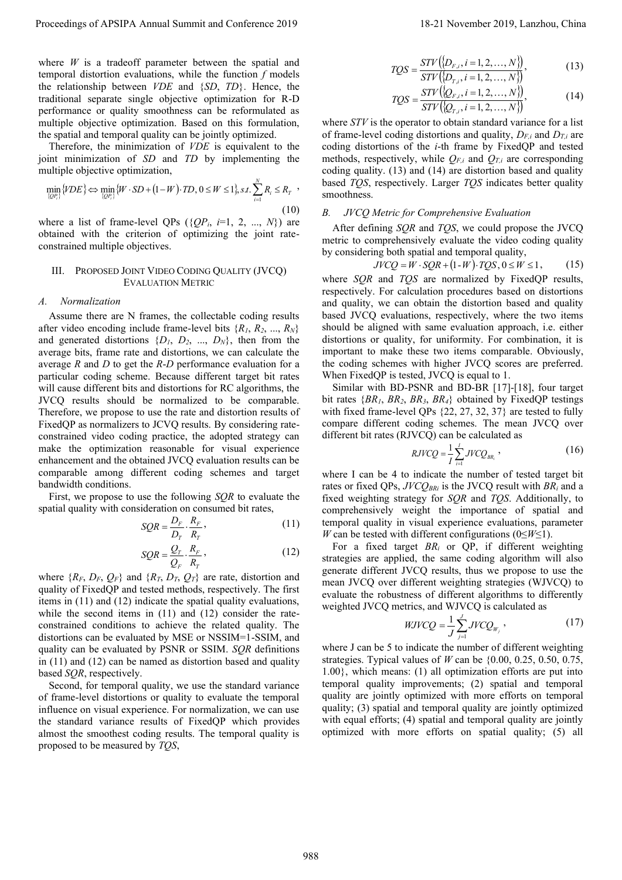where *W* is a tradeoff parameter between the spatial and temporal distortion evaluations, while the function *f* models the relationship between *VDE* and {*SD*, *TD*}. Hence, the traditional separate single objective optimization for R-D performance or quality smoothness can be reformulated as multiple objective optimization. Based on this formulation, the spatial and temporal quality can be jointly optimized.

Therefore, the minimization of *VDE* is equivalent to the is equivalent to the point minimization of *SD* and *TD* by implementing the multiple objective optimization,<br>  $\min_{\{QP_i\}} \{VDE\} \Leftrightarrow \min_{\{QP_i\}} \{W \cdot SD + (1-W) \cdot TD, 0 \le W \le 1\}, s.t. \sum_{i=1}^{N} R_i \le R_r$ multiple objective optimization,

$$
\min_{\{QP_i\}} \{VDE\} \Leftrightarrow \min_{\{QP_i\}} \{W \cdot SD + (1 - W) \cdot TD, 0 \le W \le 1\}, s.t. \sum_{i=1}^{N} R_i \le R_T
$$
\n(10)

where a list of frame-level QPs  $({QP_i, i=1, 2, ..., N})$  are obtained with the criterion of optimizing the joint rateconstrained multiple objectives.

## III. PROPOSED JOINT VIDEO CODING QUALITY (JVCQ) EVALUATION METRIC

#### *A. Normalization*

Assume there are N frames, the collectable coding results after video encoding include frame-level bits  $\{R_1, R_2, ..., R_N\}$ and generated distortions  $\{D_1, D_2, ..., D_N\}$ , then from the average bits, frame rate and distortions, we can calculate the average *R* and *D* to get the *R*-*D* performance evaluation for a particular coding scheme. Because different target bit rates will cause different bits and distortions for RC algorithms, the JVCQ results should be normalized to be comparable. Therefore, we propose to use the rate and distortion results of FixedQP as normalizers to JCVQ results. By considering rateconstrained video coding practice, the adopted strategy can make the optimization reasonable for visual experience enhancement and the obtained JVCQ evaluation results can be comparable among different coding schemes and target bandwidth conditions. Proceedings of APSIPA Annual Summit at the Summit and Eq. (a)  $\frac{1}{2}$  November 2019, Lanzhou, China 988 and Conference 2019, Lanzhou, China 988 and Conference 2019, Lanzhou, China 988 and Conference 2019, Lanzhou, China

First, we propose to use the following *SQR* to evaluate the spatial quality with consideration on consumed bit rates,

$$
SQR = \frac{D_F}{D_T} \cdot \frac{R_F}{R_T},
$$
\n(11)\n  
\n
$$
Q_T = \frac{Q_T}{R_F}
$$
\n(12)

$$
SQR = \frac{Q_r}{Q_r} \cdot \frac{R_r}{R_r},\tag{12}
$$

where  ${R_F, D_F, Q_F}$  and  ${R_T, D_T, Q_T}$  are rate, distortion and quality of FixedQP and tested methods, respectively. The first items in (11) and (12) indicate the spatial quality evaluations, while the second items in (11) and (12) consider the rateconstrained conditions to achieve the related quality. The distortions can be evaluated by MSE or NSSIM=1-SSIM, and quality can be evaluated by PSNR or SSIM. *SQR* definitions in (11) and (12) can be named as distortion based and quality based *SQR*, respectively.

Second, for temporal quality, we use the standard variance of frame-level distortions or quality to evaluate the temporal influence on visual experience. For normalization, we can use the standard variance results of FixedQP which provides almost the smoothest coding results. The temporal quality is proposed to be measured by *TQS*,

$$
TQS = \frac{STV(\{D_{F,i}, i = 1, 2, ..., N\})}{\text{const.}}\tag{13}
$$

$$
TQS = \frac{STV(\{D_{r,i}, i = 1, 2, ..., N\})}{STV(\{D_{r,i}, i = 1, 2, ..., N\})},
$$
\n
$$
TQS = \frac{STV(\{D_{r,i}, i = 1, 2, ..., N\})}{STV(\{D_{r,i}, i = 1, 2, ..., N\})},
$$
\n(14)

where *STV* is the operator to obtain standard variance for a list of frame-level coding distortions and quality,  $D_{F_i}$  and  $D_{T_i}$  are coding distortions of the *i*-th frame by FixedQP and tested methods, respectively, while  $Q_{F,i}$  and  $Q_{T,i}$  are corresponding coding quality. (13) and (14) are distortion based and quality based *TQS*, respectively. Larger *TQS* indicates better quality smoothness.

#### *B. JVCQ Metric for Comprehensive Evaluation*

After defining *SQR* and *TQS*, we could propose the JVCQ metric to comprehensively evaluate the video coding quality by considering both spatial and temporal quality, mprehensively evaluate the video coding<br>
only both spatial and temporal quality,<br>  $JVCQ = W \cdot SQR + (1-W) \cdot TQS, 0 \le W \le 1$ 

$$
JVCO = W \cdot SQR + (1-W) \cdot TQS, 0 \le W \le 1,\tag{15}
$$

where *SQR* and *TQS* are normalized by FixedQP results, respectively. For calculation procedures based on distortions and quality, we can obtain the distortion based and quality based JVCQ evaluations, respectively, where the two items should be aligned with same evaluation approach, i.e. either distortions or quality, for uniformity. For combination, it is important to make these two items comparable. Obviously, the coding schemes with higher JVCQ scores are preferred. When FixedQP is tested, JVCQ is equal to 1.

Similar with BD-PSNR and BD-BR [17]-[18], four target bit rates  $\{BR_1, BR_2, BR_3, BR_4\}$  obtained by FixedQP testings with fixed frame-level QPs {22, 27, 32, 37} are tested to fully compare different coding schemes. The mean JVCQ over different bit rates (RJVCQ) can be calculated as

$$
RJVCQ = \frac{1}{I} \sum_{i=1}^{I} JVCQ_{BR_i} , \qquad (16)
$$

where I can be 4 to indicate the number of tested target bit rates or fixed QPs,  $JVCO_{BRi}$  is the JVCQ result with  $BR_i$  and a fixed weighting strategy for *SQR* and *TQS*. Additionally, to comprehensively weight the importance of spatial and temporal quality in visual experience evaluations, parameter *W* can be tested with different configurations (0≤*W*≤1).

For a fixed target *BR<sup>i</sup>* or QP, if different weighting strategies are applied, the same coding algorithm will also generate different JVCQ results, thus we propose to use the mean JVCQ over different weighting strategies (WJVCQ) to evaluate the robustness of different algorithms to differently weighted JVCQ metrics, and WJVCQ is calculated as

$$
WJVCQ = \frac{1}{J} \sum_{j=1}^{J} JVCQ_{W_j} \,, \tag{17}
$$

where J can be 5 to indicate the number of different weighting strategies. Typical values of *W* can be {0.00, 0.25, 0.50, 0.75, 1.00}, which means: (1) all optimization efforts are put into temporal quality improvements; (2) spatial and temporal quality are jointly optimized with more efforts on temporal quality; (3) spatial and temporal quality are jointly optimized with equal efforts; (4) spatial and temporal quality are jointly optimized with more efforts on spatial quality; (5) all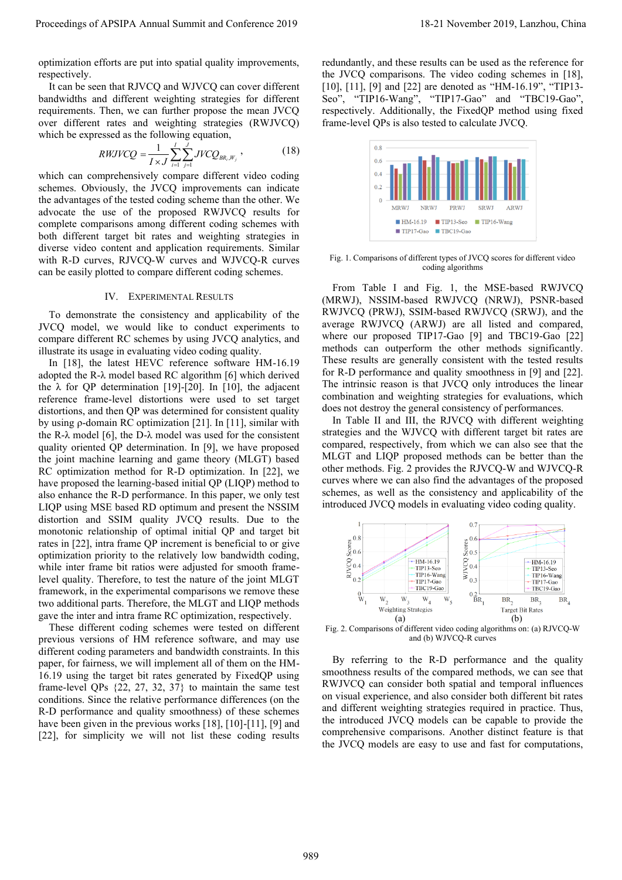optimization efforts are put into spatial quality improvements, respectively.

It can be seen that RJVCQ and WJVCQ can cover different bandwidths and different weighting strategies for different requirements. Then, we can further propose the mean JVCQ over different rates and weighting strategies (RWJVCQ) which be expressed as the following equation,

$$
RWJVCQ = \frac{1}{I \times J} \sum_{i=1}^{I} \sum_{j=1}^{J} JVCQ_{BR_i, W_j},
$$
 (18)

which can comprehensively compare different video coding schemes. Obviously, the JVCQ improvements can indicate the advantages of the tested coding scheme than the other. We advocate the use of the proposed RWJVCQ results for complete comparisons among different coding schemes with both different target bit rates and weighting strategies in diverse video content and application requirements. Similar with R-D curves, RJVCQ-W curves and WJVCQ-R curves can be easily plotted to compare different coding schemes.

## IV. EXPERIMENTAL RESULTS

To demonstrate the consistency and applicability of the JVCQ model, we would like to conduct experiments to compare different RC schemes by using JVCQ analytics, and illustrate its usage in evaluating video coding quality.

In [18], the latest HEVC reference software HM-16.19 adopted the R-λ model based RC algorithm [6] which derived the  $\lambda$  for QP determination [19]-[20]. In [10], the adjacent reference frame-level distortions were used to set target distortions, and then QP was determined for consistent quality by using ρ-domain RC optimization [21]. In [11], similar with the R- $\lambda$  model [6], the D- $\lambda$  model was used for the consistent quality oriented QP determination. In [9], we have proposed the joint machine learning and game theory (MLGT) based RC optimization method for R-D optimization. In [22], we have proposed the learning-based initial QP (LIQP) method to also enhance the R-D performance. In this paper, we only test LIQP using MSE based RD optimum and present the NSSIM distortion and SSIM quality JVCQ results. Due to the monotonic relationship of optimal initial QP and target bit rates in [22], intra frame QP increment is beneficial to or give optimization priority to the relatively low bandwidth coding, while inter frame bit ratios were adjusted for smooth framelevel quality. Therefore, to test the nature of the joint MLGT framework, in the experimental comparisons we remove these two additional parts. Therefore, the MLGT and LIQP methods gave the inter and intra frame RC optimization, respectively. Proceedings of APSIPA Annual Summit and APSIPA Annual Summit and Summit and Summit and Summit and Summit and Summit and Summit and Summit and Summit and Summit and Summit and Summit and Summit and Summit and Summit and Su

These different coding schemes were tested on different previous versions of HM reference software, and may use different coding parameters and bandwidth constraints. In this paper, for fairness, we will implement all of them on the HM-16.19 using the target bit rates generated by FixedQP using frame-level QPs {22, 27, 32, 37} to maintain the same test conditions. Since the relative performance differences (on the R-D performance and quality smoothness) of these schemes have been given in the previous works [18], [10]-[11], [9] and [22], for simplicity we will not list these coding results

redundantly, and these results can be used as the reference for the JVCQ comparisons. The video coding schemes in [18], [10], [11], [9] and [22] are denoted as "HM-16.19", "TIP13-Seo", "TIP16-Wang", "TIP17-Gao" and "TBC19-Gao", respectively. Additionally, the FixedQP method using fixed frame-level QPs is also tested to calculate JVCQ.



Fig. 1. Comparisons of different types of JVCQ scores for different video coding algorithms

From Table I and Fig. 1, the MSE-based RWJVCQ (MRWJ), NSSIM-based RWJVCQ (NRWJ), PSNR-based RWJVCQ (PRWJ), SSIM-based RWJVCQ (SRWJ), and the average RWJVCQ (ARWJ) are all listed and compared, where our proposed TIP17-Gao [9] and TBC19-Gao [22] methods can outperform the other methods significantly. These results are generally consistent with the tested results for R-D performance and quality smoothness in [9] and [22]. The intrinsic reason is that JVCQ only introduces the linear combination and weighting strategies for evaluations, which does not destroy the general consistency of performances.

In Table II and III, the RJVCQ with different weighting strategies and the WJVCQ with different target bit rates are compared, respectively, from which we can also see that the MLGT and LIQP proposed methods can be better than the other methods. Fig. 2 provides the RJVCQ-W and WJVCQ-R curves where we can also find the advantages of the proposed schemes, as well as the consistency and applicability of the introduced JVCQ models in evaluating video coding quality.



Fig. 2. Comparisons of different video coding algorithms on: (a) RJVCQ-W and (b) WJVCQ-R curves

By referring to the R-D performance and the quality smoothness results of the compared methods, we can see that RWJVCQ can consider both spatial and temporal influences on visual experience, and also consider both different bit rates and different weighting strategies required in practice. Thus, the introduced JVCQ models can be capable to provide the comprehensive comparisons. Another distinct feature is that the JVCQ models are easy to use and fast for computations,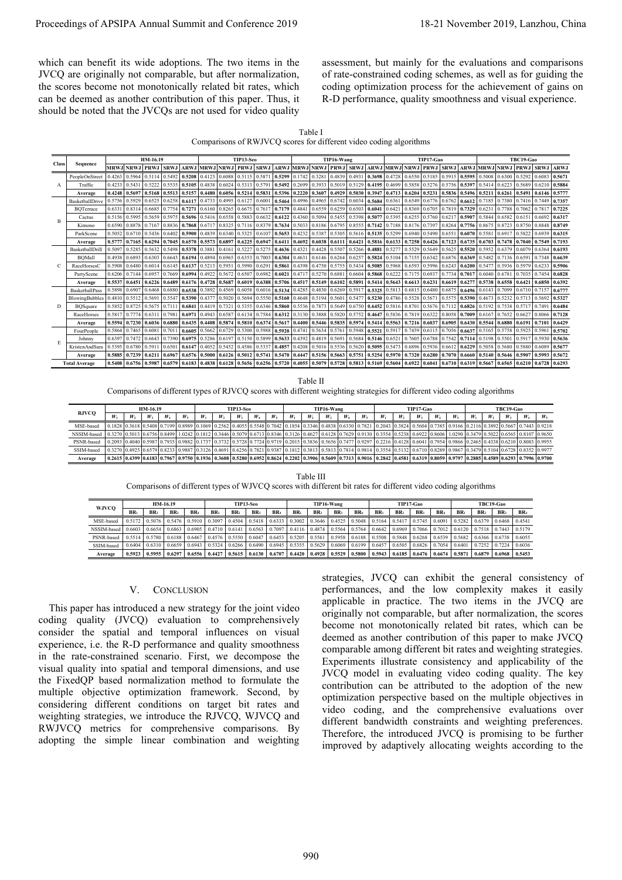|--|

Comparisons of RWJVCQ scores for different video coding algorithms

| Proceedings of APSIPA Annual Summit and Conference 2019                                                                                                                                                                                                                                                                                                                                                                                                                                                                                                                                                                                                          |                                                              |                                                                      |                            |                                                         |                                                         |                                                                     |                                                         |                                                         |                                                                                                                                                                             |                                                                      |                                                         |                                                         |                                                                      |                                                                       |                                                         |                                                         |                         |                                                                      |                                                         |                                                         |                                                         |                                                                      |                                                         |                                                         |                          | 18-21 November 2019, Lanzhou, China                                                                                                                                                                                                                                                                                                                                                                                                                                                                                                                                                                                                                                                                                                                                                                                                                                                                                                          |
|------------------------------------------------------------------------------------------------------------------------------------------------------------------------------------------------------------------------------------------------------------------------------------------------------------------------------------------------------------------------------------------------------------------------------------------------------------------------------------------------------------------------------------------------------------------------------------------------------------------------------------------------------------------|--------------------------------------------------------------|----------------------------------------------------------------------|----------------------------|---------------------------------------------------------|---------------------------------------------------------|---------------------------------------------------------------------|---------------------------------------------------------|---------------------------------------------------------|-----------------------------------------------------------------------------------------------------------------------------------------------------------------------------|----------------------------------------------------------------------|---------------------------------------------------------|---------------------------------------------------------|----------------------------------------------------------------------|-----------------------------------------------------------------------|---------------------------------------------------------|---------------------------------------------------------|-------------------------|----------------------------------------------------------------------|---------------------------------------------------------|---------------------------------------------------------|---------------------------------------------------------|----------------------------------------------------------------------|---------------------------------------------------------|---------------------------------------------------------|--------------------------|----------------------------------------------------------------------------------------------------------------------------------------------------------------------------------------------------------------------------------------------------------------------------------------------------------------------------------------------------------------------------------------------------------------------------------------------------------------------------------------------------------------------------------------------------------------------------------------------------------------------------------------------------------------------------------------------------------------------------------------------------------------------------------------------------------------------------------------------------------------------------------------------------------------------------------------------|
| which can benefit its wide adoptions. The two items in the<br>JVCQ are originally not comparable, but after normalization,<br>the scores become not monotonically related bit rates, which<br>can be deemed as another contribution of this paper. Thus, it<br>should be noted that the JVCQs are not used for video quality                                                                                                                                                                                                                                                                                                                                     |                                                              |                                                                      |                            |                                                         |                                                         |                                                                     |                                                         |                                                         |                                                                                                                                                                             |                                                                      |                                                         |                                                         |                                                                      |                                                                       |                                                         |                                                         |                         |                                                                      |                                                         |                                                         |                                                         |                                                                      |                                                         |                                                         |                          | assessment, but mainly for the evaluations and comparisons<br>of rate-constrained coding schemes, as well as for guiding the<br>coding optimization process for the achievement of gains on<br>R-D performance, quality smoothness and visual experience.                                                                                                                                                                                                                                                                                                                                                                                                                                                                                                                                                                                                                                                                                    |
|                                                                                                                                                                                                                                                                                                                                                                                                                                                                                                                                                                                                                                                                  |                                                              |                                                                      |                            |                                                         |                                                         |                                                                     |                                                         |                                                         | Comparisons of RWJVCQ scores for different video coding algorithms                                                                                                          |                                                                      |                                                         |                                                         | Table I                                                              |                                                                       |                                                         |                                                         |                         |                                                                      |                                                         |                                                         |                                                         |                                                                      |                                                         |                                                         |                          |                                                                                                                                                                                                                                                                                                                                                                                                                                                                                                                                                                                                                                                                                                                                                                                                                                                                                                                                              |
| Class                                                                                                                                                                                                                                                                                                                                                                                                                                                                                                                                                                                                                                                            | Sequence                                                     |                                                                      |                            | <b>MRWJ NRWJ</b>                                        | HM-16.19<br>PRWJ                                        | <b>SRWJ</b>                                                         | <b>ARWJ</b>                                             |                                                         | MRWJ NRWJ PRWJ SRWJ                                                                                                                                                         | TIP13-Seo                                                            | <b>ARWJ</b>                                             |                                                         | <b>MRWJ NRWJ</b>                                                     | TIP16-Wang<br><b>PRWJ</b>                                             | <b>SRWJ</b>                                             | <b>ARWJ</b>                                             |                         | <b>MRWJ NRWJ</b>                                                     | TIP17-Gao<br><b>PRWJ</b>                                | <b>SRWJ</b>                                             |                                                         | <b>ARWJ MRWJ</b>                                                     |                                                         | TBC19-Gao<br><b>NRWJ PRWJ</b>                           | <b>SRWJ ARWJ</b>         |                                                                                                                                                                                                                                                                                                                                                                                                                                                                                                                                                                                                                                                                                                                                                                                                                                                                                                                                              |
| A                                                                                                                                                                                                                                                                                                                                                                                                                                                                                                                                                                                                                                                                | PeopleOnStreet<br>Traffic                                    |                                                                      | 0.4263<br>0.4233           | 0.5964<br>0.543                                         | 0.5114<br>0.5222                                        | 0.5492<br>0.553:                                                    | 0.5208<br>0.5105                                        | 0.4123<br>0.4838                                        | 0.6088<br>0.6024                                                                                                                                                            | 0.5871<br>0.5115<br>0.5313<br>0.5791                                 | 0.5299<br>0.5492                                        | 0.1742<br>0.2699                                        | 0.3281<br>0.3933                                                     | 0.4839<br>0.5019                                                      | 0.493<br>0.5129                                         | 0.3698<br>0.4195                                        | 0.4728<br>0.4699        | 0.6550<br>0.5858                                                     | 0.5185<br>0.5276                                        | 0.5915<br>0.5756                                        | 0.5595<br>0.5397                                        | 0.5008<br>0.5414                                                     | 0.6300<br>0.6223                                        | 0.5292<br>0.5689                                        | 0.6083<br>0.6210         | 0.5671<br>0.5884                                                                                                                                                                                                                                                                                                                                                                                                                                                                                                                                                                                                                                                                                                                                                                                                                                                                                                                             |
|                                                                                                                                                                                                                                                                                                                                                                                                                                                                                                                                                                                                                                                                  | Average<br>BasketballDrive                                   |                                                                      | 0.4248<br>0.5756           | 0.5697<br>0.5929                                        | 0.5168<br>0.652:                                        | 0.5513<br>0.6258                                                    | 0.5157<br>0.6117                                        | 0.4480<br>0.4733                                        | 0.6056<br>0.4995                                                                                                                                                            | 0.5214<br>0.5831<br>0.6127<br>0.6001                                 | 0.5396<br>0.5464                                        | 0.2220<br>0.4996                                        | 0.3607<br>0.4965                                                     | 0.4929<br>0.6742                                                      | 0.5030<br>0.6034                                        | 0.3947<br>0.5684                                        | 0.4713<br>0.636         | 0.6204<br>0.6549                                                     | 0.5231<br>0.6776                                        | 0.5836<br>0.6762                                        | 0.5496<br>0.6612                                        | 0.5211<br>0.7185                                                     | 0.6261<br>0.7380                                        | 0.5491<br>0.7416                                        | 0.6146<br>0.7449         | 0.5777<br>0.7357                                                                                                                                                                                                                                                                                                                                                                                                                                                                                                                                                                                                                                                                                                                                                                                                                                                                                                                             |
|                                                                                                                                                                                                                                                                                                                                                                                                                                                                                                                                                                                                                                                                  | BQTerrace                                                    |                                                                      | 0.6331<br>0.5156           | 0.8314<br>0.5995                                        | 0.668<br>0.5659                                         | 0.7754<br>0.597:                                                    | 0.7271                                                  | 0.6160<br>0.5416                                        | 0.8265<br>0.6558                                                                                                                                                            | 0.6675<br>0.7617<br>0.5883<br>0.6632                                 | 0.7179<br>0.6122                                        | 0.4841<br>0.4360                                        | 0.6559<br>0.5094                                                     | 0.6259<br>0.5455                                                      | 0.6503<br>0.5398                                        | 0.6041<br>0.5077                                        | 0.642<br>0.539:         | 0.8369<br>0.6255                                                     | 0.6705<br>0.5760                                        | 0.7819<br>0.6217                                        | 0.7329<br>0.5907                                        | 0.6231<br>0.5844                                                     | 0.7788<br>0.6582                                        | 0.7062<br>0.6151                                        | 0.7817<br>0.6692         | 0.7225                                                                                                                                                                                                                                                                                                                                                                                                                                                                                                                                                                                                                                                                                                                                                                                                                                                                                                                                       |
| В                                                                                                                                                                                                                                                                                                                                                                                                                                                                                                                                                                                                                                                                | Cactus<br>Kimono                                             |                                                                      | 0.659                      | 0.887                                                   | 0.716                                                   | 0.883                                                               | 0.5696<br>0.7868                                        | 0.6717                                                  | 0.8325                                                                                                                                                                      | 0.7116<br>0.8379                                                     | 0.7634                                                  | 0.5033                                                  | 0.8186                                                               | 0.6795                                                                | 0.855                                                   | 0.7142                                                  | 0.718                   | 0.8176                                                               | 0.7397                                                  | 0.8264                                                  | 0.7756                                                  | 0.8675                                                               | 0.8723                                                  | 0.8750                                                  | 0.884                    | 0.6317<br>0.8749                                                                                                                                                                                                                                                                                                                                                                                                                                                                                                                                                                                                                                                                                                                                                                                                                                                                                                                             |
|                                                                                                                                                                                                                                                                                                                                                                                                                                                                                                                                                                                                                                                                  | ParkScene<br>Average                                         |                                                                      | 0.505<br>0.5777            | 0.6710<br>0.7165                                        | 0.5436<br>0.6294                                        | 0.640<br>0.7045                                                     | 0.5900<br>0.6570                                        | 0.4839<br>0.5573                                        | 0.6340<br>0.6897                                                                                                                                                            | 0.5325<br>0.6107<br>0.6225<br>0.6947                                 | 0.5653<br>0.6411                                        | 0.4232<br>0.4692                                        | 0.538<br>0.6038                                                      | 0.5305<br>0.6111                                                      | 0.5616<br>0.6421                                        | 0.5135<br>0.5816                                        | 0.5299<br>0.6133        | 0.6940<br>0.7258                                                     | 0.5490<br>0.6426                                        | 0.6551<br>0.7123                                        | 0.6070<br>0.6735                                        | 0.5581<br>0.6703                                                     | 0.6917<br>0.7478                                        | 0.5822<br>0.7040                                        | 0.6939<br>0.7549         | 0.6315<br>0.7193                                                                                                                                                                                                                                                                                                                                                                                                                                                                                                                                                                                                                                                                                                                                                                                                                                                                                                                             |
|                                                                                                                                                                                                                                                                                                                                                                                                                                                                                                                                                                                                                                                                  | BasketballDrill<br><b>BQMall</b>                             |                                                                      | 0.5097<br>0.4938           | 0.528<br>0.6893                                         | 0.563<br>0.630                                          | 0.5498<br>0.6643                                                    | 0.5378<br>0.6194                                        | 0.3881<br>0.4894                                        | 0.4161<br>0.6965                                                                                                                                                            | 0.5227<br>0.5275<br>0.6353<br>0.7003                                 | 0.4636<br>0.6304                                        | 0.4321<br>0.4631                                        | 0.4428<br>0.6146                                                     | 0.5507<br>0.6264                                                      | 0.5266<br>0.625'                                        | 0.4881<br>0.5824                                        | 0.527<br>0.5104         | 0.5529<br>0.7155                                                     | 0.5649<br>0.6342                                        | 0.5625<br>0.6876                                        | 0.5520<br>0.6369                                        | 0.5952<br>0.5482                                                     | 0.6379<br>0.7136                                        | 0.6079<br>0.6591                                        | 0.6364<br>0.734          | 0.6193<br>0.6639                                                                                                                                                                                                                                                                                                                                                                                                                                                                                                                                                                                                                                                                                                                                                                                                                                                                                                                             |
| C                                                                                                                                                                                                                                                                                                                                                                                                                                                                                                                                                                                                                                                                | RaceHorsesC<br>PartyScene                                    |                                                                      | 0.5908<br>0.6206           | 0.6480<br>0.7144                                        | 0.601<br>0.695                                          | 0.614:<br>0.7669                                                    | 0.6137<br>0.6994                                        | 0.5213<br>0.4922                                        | 0.5951<br>0.5672                                                                                                                                                            | 0.5990<br>0.6291<br>0.6507<br>0.6982                                 | 0.5861<br>0.6021                                        | 0.4398<br>0.4717                                        | 0.4750<br>0.5270                                                     | 0.5755<br>0.6881                                                      | 0.5434<br>0.6604                                        | 0.5085<br>0.5868                                        | 0.5968<br>0.6222        | 0.6593<br>0.7175                                                     | 0.5996<br>0.6937                                        | 0.6243<br>0.7734                                        | 0.6200<br>0.7017                                        | 0.5477<br>0.6040                                                     | 0.5936<br>0.678                                         | 0.5979<br>0.703:                                        | 0.623<br>0.7454          | 0.5906<br>0.6828                                                                                                                                                                                                                                                                                                                                                                                                                                                                                                                                                                                                                                                                                                                                                                                                                                                                                                                             |
|                                                                                                                                                                                                                                                                                                                                                                                                                                                                                                                                                                                                                                                                  | Average<br>BasketballPass                                    |                                                                      | 0.553<br>0.5898            | 0.6451<br>0.6907                                        | 0.622<br>0.6468                                         | 0.6489<br>0.6880                                                    | 0.6176<br>0.6538                                        | 0.4728<br>0.3892                                        | 0.5687<br>0.4569                                                                                                                                                            | 0.6388<br>0.6019<br>0.6058<br>0.6016                                 | 0.5706<br>0.5134                                        | 0.4517<br>0.4285                                        | 0.5149<br>0.4830                                                     | 0.6102<br>0.6269                                                      | 0.5891<br>0.5917                                        | 0.5414<br>0.5325                                        | 0.5643<br>0.5813        | 0.6613<br>0.6815                                                     | 0.6231<br>0.6480                                        | 0.6619<br>0.6875                                        | 0.6277<br>0.6496                                        | 0.5738<br>0.6143                                                     | 0.6558<br>0.7099                                        | 0.6421<br>0.6710                                        | 0.6850<br>0.7157         | 0.6392<br>0.6777                                                                                                                                                                                                                                                                                                                                                                                                                                                                                                                                                                                                                                                                                                                                                                                                                                                                                                                             |
|                                                                                                                                                                                                                                                                                                                                                                                                                                                                                                                                                                                                                                                                  | <b>BlowingBubbles</b>                                        |                                                                      | 0.481(                     | 0.5512                                                  | 0.5691                                                  | 0.5547                                                              | 0.5390                                                  | 0.4377                                                  | 0.5020                                                                                                                                                                      | 0.5694<br>0.5550                                                     | 0.5160                                                  | 0.4648                                                  | 0.5194                                                               | 0.5601                                                                | 0.5477                                                  | 0.5230                                                  | 0.4786                  | 0.5528                                                               | 0.5671                                                  | 0.5575                                                  | 0.5390                                                  | 0.4673                                                               | 0.5232                                                  | 0.5713                                                  | 0.5692                   | 0.5327                                                                                                                                                                                                                                                                                                                                                                                                                                                                                                                                                                                                                                                                                                                                                                                                                                                                                                                                       |
| D                                                                                                                                                                                                                                                                                                                                                                                                                                                                                                                                                                                                                                                                | BQSquare<br>RaceHorses                                       |                                                                      | 0.5852<br>0.5817           | 0.872<br>0.7774                                         | 0.567<br>0.631                                          | 0.711<br>0.798                                                      | 0.6841<br>0.6971                                        | 0.4419<br>0.4943                                        | 0.7321<br>0.6587                                                                                                                                                            | 0.535:<br>0.6346<br>0.6134<br>0.7584                                 | 0.5860<br>0.6312                                        | 0.5536<br>0.3130                                        | 0.7873<br>0.3888                                                     | 0.5649<br>0.5820                                                      | 0.6750<br>0.5752                                        | 0.6452<br>0.4647                                        | 0.581<br>0.583          | 0.8701<br>0.7819                                                     | 0.5676<br>0.6322                                        | 0.7112<br>0.8058                                        | 0.6826<br>0.7009                                        | 0.5192<br>0.6167                                                     | 0.7538<br>0.7652                                        | 0.5717<br>0.6627                                        | 0.749<br>0.8066          | 0.6484<br>0.7128                                                                                                                                                                                                                                                                                                                                                                                                                                                                                                                                                                                                                                                                                                                                                                                                                                                                                                                             |
|                                                                                                                                                                                                                                                                                                                                                                                                                                                                                                                                                                                                                                                                  | Average<br>FourPeople                                        |                                                                      | 0.5594<br>0.586            | 0.7230<br>0.7465                                        | 0.6036<br>0.608                                         | 0.6880<br>0.701                                                     | 0.6435<br>0.6605                                        | 0.4408<br>0.5662                                        | 0.5874<br>0.6729                                                                                                                                                            | 0.6374<br>0.5810<br>0.5300<br>0.5988                                 | 0.5617<br>0.5920                                        | 0.4400<br>0.4741                                        | 0.5446<br>0.5634                                                     | 0.5835<br>0.5761                                                      | 0.5974<br>0.5948                                        | 0.5414<br>0.5521                                        | 0.5563<br>0.591         | 0.7216<br>0.7459                                                     | 0.6037<br>0.6115                                        | 0.6905<br>0.7056                                        | 0.6430<br>0.6637                                        | 0.5544<br>0.5165                                                     | 0.6880<br>0.5758                                        | 0.6191<br>0.5925                                        | 0.710<br>0.5961          | 0.6429<br>0.5702                                                                                                                                                                                                                                                                                                                                                                                                                                                                                                                                                                                                                                                                                                                                                                                                                                                                                                                             |
| E                                                                                                                                                                                                                                                                                                                                                                                                                                                                                                                                                                                                                                                                | Johnny<br>KristenAndSara                                     |                                                                      | 0.6397<br>0.539:           | 0.7472<br>0.6780                                        | 0.6643<br>0.591                                         | 0.739<br>0.650                                                      | 0.6975<br>0.6147                                        | 0.5286<br>0.4052                                        | 0.6197<br>0.5452                                                                                                                                                            | 0.5150<br>0.5899<br>0.4586<br>0.5337                                 | 0.5633<br>0.4857                                        | 0.4392<br>0.4208                                        | 0.4819<br>0.5016                                                     | 0.5691<br>0.5536                                                      | 0.5684<br>0.5620                                        | 0.5146<br>0.5095                                        | 0.652<br>0.547          | 0.7605<br>0.6896                                                     | 0.6788<br>0.5936                                        | 0.7542<br>0.6612                                        | 0.7114<br>0.6229                                        | 0.5198<br>0.5058                                                     | 0.5501<br>0.5680                                        | 0.5917<br>0.5880                                        | 0.5930<br>0.6089         | 0.5636<br>0.5677                                                                                                                                                                                                                                                                                                                                                                                                                                                                                                                                                                                                                                                                                                                                                                                                                                                                                                                             |
|                                                                                                                                                                                                                                                                                                                                                                                                                                                                                                                                                                                                                                                                  | Average                                                      |                                                                      | 0.5885                     | 0.7239                                                  | 0.6211                                                  | 0.6967                                                              | 0.6576                                                  | 0.5000                                                  | 0.6126                                                                                                                                                                      | 0.5012<br>0.5741                                                     | 0.5470                                                  | 0.4447                                                  | 0.5156                                                               | 0.5663                                                                | 0.5751                                                  | 0.5254                                                  | 0.5970                  | 0.7320                                                               | 0.6280                                                  | 0.7070                                                  | 0.6660                                                  | 0.5140                                                               | 0.5646                                                  | 0.5907                                                  | 0.5993                   | 0.5672                                                                                                                                                                                                                                                                                                                                                                                                                                                                                                                                                                                                                                                                                                                                                                                                                                                                                                                                       |
|                                                                                                                                                                                                                                                                                                                                                                                                                                                                                                                                                                                                                                                                  | <b>Total Average</b>                                         |                                                                      | 0.5408                     | 0.6756                                                  | 0.5987                                                  | 0.6579                                                              | 0.6183                                                  | 0.4838                                                  | 0.6128                                                                                                                                                                      | 0.5656<br>0.6256                                                     | 0.5720                                                  | 0.4055                                                  | 0.5079                                                               | 0.5728                                                                | 0.5813                                                  | 0.5169                                                  | 0.5604                  | 0.6922                                                               | 0.6041                                                  | 0.6710                                                  | 0.6319                                                  | 0.5667                                                               | 0.6565                                                  | 0.6210                                                  | 0.6728                   | 0.6293                                                                                                                                                                                                                                                                                                                                                                                                                                                                                                                                                                                                                                                                                                                                                                                                                                                                                                                                       |
|                                                                                                                                                                                                                                                                                                                                                                                                                                                                                                                                                                                                                                                                  | <b>RJVCQ</b><br>MSE-based                                    |                                                                      | $W_1$<br>0.1828            | $W_2$<br>0.3618                                         | HM-16.19<br>$W_3$<br>0.5408                             | $W_4$<br>0.7199                                                     | $W_5$<br>0.8989                                         | $W_1$<br>0.1069                                         | Comparisons of different types of RJVCQ scores with different weighting strategies for different video coding algorithms<br>TIP13-Seo<br>$W_2$<br>$W_3$<br>0.2562<br>0.4055 | $W_4$<br>0.5548                                                      | $W_5$<br>0.7042                                         | $W_1$<br>0.1854                                         | Table II<br>$W_2$<br>0.3346                                          | TIP16-Wang<br>$W_3$<br>0.4838                                         | $W_4$<br>0.6330<br>0.7821                               | $W_5$                                                   | $W_1$<br>0.2043         | $W_2$<br>0.3824                                                      | TIP17-Gao<br>$W_3$<br>0.5604                            | $W_4$<br>0.7385                                         | $W_5$<br>$W_1$<br>0.9166<br>0.2116                      | $W_2$<br>0.3892                                                      | TBC19-Gao<br>$W_3$<br>0.5667                            | $W_4$<br>0.7443                                         | $W_5$<br>0.9218          |                                                                                                                                                                                                                                                                                                                                                                                                                                                                                                                                                                                                                                                                                                                                                                                                                                                                                                                                              |
|                                                                                                                                                                                                                                                                                                                                                                                                                                                                                                                                                                                                                                                                  | NSSIM-based                                                  |                                                                      | 0.3270                     | 0.5013                                                  | 0.675<br>0.598                                          | 0.8499<br>0.7935                                                    | 1.0242<br>0.9882                                        | 0.1812                                                  | 0.3446<br>0.5079<br>0.5728<br>0.3732                                                                                                                                        | 0.6713<br>0.7724                                                     | 0.8346<br>0.9719                                        | 0.3126                                                  | 0.4627<br>0.3836                                                     | 0.6128<br>0.5656                                                      | 0.7629<br>0.7477<br>0.9297                              | 0.9130                                                  | 0.3554<br>0.2216        | 0.5238<br>0.4128                                                     | 0.6922<br>0.6041                                        | 0.860<br>0.7954                                         | 1.0290<br>0.3479<br>0.9866<br>0.2465                    | 0.5022                                                               | 0.6565                                                  | 0.8107                                                  | .9650                    |                                                                                                                                                                                                                                                                                                                                                                                                                                                                                                                                                                                                                                                                                                                                                                                                                                                                                                                                              |
|                                                                                                                                                                                                                                                                                                                                                                                                                                                                                                                                                                                                                                                                  | PSNR-based<br>SSIM-based<br>Average                          |                                                                      | 0.2093<br>0.3270<br>0.2615 | 0.4040<br>1.4925<br>0.4399 0.6183                       | 0.657                                                   | 0.8233<br>0.7967                                                    | 0.9887<br>0.9750                                        | 0.1737<br>0.3126<br>0.1936                              | 0.4691<br>0.6256<br>0.3608                                                                                                                                                  | 0.782<br>0.5280 0.6952 0.8624                                        | 0.9387                                                  | 0.2015<br>0.1812<br>0.2202                              | 0.3813<br>0.3906 0.5609                                              | 0.5813                                                                | 0.7814<br>0.9814<br>0.7313                              | 0.9016                                                  | 0.3554<br>0.2842 0.4581 | 0.5132                                                               | 0.6710<br>0.6319                                        | 0.8289<br>0.9867<br>0.8059                              | 0.3479<br>0.9797                                        | 0.4338<br>0.5104                                                     | 0.6210<br>0.6728<br>0.2885 0.4589 0.6293                | 0.808<br>0.8352<br>0.7996                               | .9955<br>.9977<br>0.9700 |                                                                                                                                                                                                                                                                                                                                                                                                                                                                                                                                                                                                                                                                                                                                                                                                                                                                                                                                              |
|                                                                                                                                                                                                                                                                                                                                                                                                                                                                                                                                                                                                                                                                  |                                                              | <b>WJVCQ</b><br>MSE-based<br>NSSIM-based<br>PSNR-based<br>SSIM-based |                            | BR <sub>1</sub><br>0.5172<br>0.6603<br>0.5514<br>0.6404 | BR <sub>2</sub><br>0.5076<br>0.6654<br>0.5780<br>0.6310 | HM-16.19<br>BR <sub>3</sub><br>0.5476<br>0.6863<br>0.6188<br>0.6659 | BR <sub>4</sub><br>0.5910<br>0.6905<br>0.6467<br>0.6943 | BR <sub>1</sub><br>0.3097<br>0.4710<br>0.4576<br>0.5324 | Comparisons of different types of WJVCQ scores with different bit rates for different video coding algorithms<br>BR <sub>2</sub><br>0.4504<br>0.6141<br>0.5550<br>0.6266    | TIP13-Seo<br>BR <sub>3</sub><br>0.5418<br>0.6563<br>0.6047<br>0.6490 | BR <sub>4</sub><br>0.6333<br>0.7097<br>0.6453<br>0.6945 | BR <sub>1</sub><br>0.3002<br>0.4116<br>0.5205<br>0.5355 | Table III<br>BR <sub>2</sub><br>0.3646<br>0.4874<br>0.5561<br>0.5629 | TIP16-Wang<br>BR <sub>3</sub><br>0.4525<br>0.5564<br>0.5958<br>0.6069 | BR <sub>4</sub><br>0.5048<br>0.5764<br>0.6188<br>0.6199 | BR <sub>1</sub><br>0.5164<br>0.6642<br>0.5508<br>0.6457 |                         | TIP17-Gao<br>BR <sub>2</sub><br>0.5417<br>0.6969<br>0.5848<br>0.6505 | BR <sub>3</sub><br>0.5745<br>0.7066<br>0.6268<br>0.6826 | $\mathbf{BR}_4$<br>0.6091<br>0.7012<br>0.6539<br>0.7054 | BR <sub>1</sub><br>0.5282<br>0.6120<br>0.5682<br>0.6401 | TBC19-Gao<br>BR <sub>2</sub><br>0.6379<br>0.7518<br>0.6366<br>0.7252 | BR <sub>3</sub><br>0.6468<br>0.7443<br>0.6738<br>0.7224 | BR <sub>4</sub><br>0.4541<br>0.5179<br>0.6055<br>0.6036 |                          |                                                                                                                                                                                                                                                                                                                                                                                                                                                                                                                                                                                                                                                                                                                                                                                                                                                                                                                                              |
|                                                                                                                                                                                                                                                                                                                                                                                                                                                                                                                                                                                                                                                                  |                                                              | Average                                                              |                            | 0.5923                                                  | 0.5955                                                  | 0.6297                                                              | 0.6556                                                  | 0.4427                                                  | 0.5615                                                                                                                                                                      | 0.6130                                                               | 0.6707                                                  | 0.4420                                                  | 0.4928                                                               | 0.5529                                                                | 0.5800                                                  | 0.5943                                                  |                         | 0.6185                                                               | 0.6476                                                  | 0.6674                                                  | 0.5871                                                  | 0.6879                                                               | 0.6968                                                  | 0.5453                                                  |                          |                                                                                                                                                                                                                                                                                                                                                                                                                                                                                                                                                                                                                                                                                                                                                                                                                                                                                                                                              |
| coding quality (JVCQ) evaluation to comprehensively<br>consider the spatial and temporal influences on visual<br>experience, i.e. the R-D performance and quality smoothness<br>in the rate-constrained scenario. First, we decompose the<br>visual quality into spatial and temporal dimensions, and use<br>the FixedQP based normalization method to formulate the<br>multiple objective optimization framework. Second, by<br>considering different conditions on target bit rates and<br>weighting strategies, we introduce the RJVCQ, WJVCQ and<br>RWJVCQ metrics for comprehensive comparisons. By<br>adopting the simple linear combination and weighting | This paper has introduced a new strategy for the joint video |                                                                      |                            | V.                                                      |                                                         | <b>CONCLUSION</b>                                                   |                                                         |                                                         |                                                                                                                                                                             |                                                                      |                                                         |                                                         |                                                                      |                                                                       |                                                         |                                                         |                         |                                                                      |                                                         |                                                         |                                                         |                                                                      |                                                         |                                                         |                          | strategies, JVCQ can exhibit the general consistency of<br>performances, and the low complexity makes it easily<br>applicable in practice. The two items in the JVCQ are<br>originally not comparable, but after normalization, the scores<br>become not monotonically related bit rates, which can be<br>deemed as another contribution of this paper to make JVCQ<br>comparable among different bit rates and weighting strategies.<br>Experiments illustrate consistency and applicability of the<br>JVCQ model in evaluating video coding quality. The key<br>contribution can be attributed to the adoption of the new<br>optimization perspective based on the multiple objectives in<br>video coding, and the comprehensive evaluations over<br>different bandwidth constraints and weighting preferences.<br>Therefore, the introduced JVCQ is promising to be further<br>improved by adaptively allocating weights according to the |
|                                                                                                                                                                                                                                                                                                                                                                                                                                                                                                                                                                                                                                                                  |                                                              |                                                                      |                            |                                                         |                                                         |                                                                     |                                                         |                                                         |                                                                                                                                                                             |                                                                      |                                                         |                                                         | 990                                                                  |                                                                       |                                                         |                                                         |                         |                                                                      |                                                         |                                                         |                                                         |                                                                      |                                                         |                                                         |                          |                                                                                                                                                                                                                                                                                                                                                                                                                                                                                                                                                                                                                                                                                                                                                                                                                                                                                                                                              |

Table II

| <b>RJVCO</b>                                                                                                                                                                               | HM-16.19                                                                                                                                                                       |    |       |       |         |       |                                                                                                                                                                                 | TIP13-Seo |       |             |    |    | TIP16-Wang |       |         |       |    | TIP17-Gao |       |         |       |    | TBC19-Gao |    |  |
|--------------------------------------------------------------------------------------------------------------------------------------------------------------------------------------------|--------------------------------------------------------------------------------------------------------------------------------------------------------------------------------|----|-------|-------|---------|-------|---------------------------------------------------------------------------------------------------------------------------------------------------------------------------------|-----------|-------|-------------|----|----|------------|-------|---------|-------|----|-----------|-------|---------|-------|----|-----------|----|--|
|                                                                                                                                                                                            |                                                                                                                                                                                | W, | $W_1$ | $W_4$ | $W_{s}$ | $W_1$ | $W_2$                                                                                                                                                                           | $W_3$     | $W_4$ | $W_{\rm s}$ | W, | W, | $W_3$      | $W_4$ | $W_{s}$ | $W_1$ | W, | $W_3$     | $W_4$ | $W_{s}$ | $W_1$ | W, | W,        | W, |  |
| MSE-based                                                                                                                                                                                  | 0.1828 0.3618 0.5408 0.7199 0.8989 0.1069 0.2562 0.4055 0.5548 0.7042 0.1854 0.3346 0.4838 0.6330 0.7821 0.2043 0.3824 0.5604 0.7385 0.9166 0.2116 0.3892 0.5667 0.7443 0.9218 |    |       |       |         |       |                                                                                                                                                                                 |           |       |             |    |    |            |       |         |       |    |           |       |         |       |    |           |    |  |
| NSSIM-based 0.3270 0.5013 0.6756 0.8499 1.0242 0.1812 0.3446 0.5079 0.6713 0.8346 0.3126 0.4627 0.6128 0.7629 0.9130 0.3554 0.5238 0.6922 0.8606 1.0290 0.3479 0.5022 0.6565 0.8107 0.9559 |                                                                                                                                                                                |    |       |       |         |       |                                                                                                                                                                                 |           |       |             |    |    |            |       |         |       |    |           |       |         |       |    |           |    |  |
| PSNR-based                                                                                                                                                                                 | 0.2093 0.4040 0.5987 0.7935 0.9882 0.1737 0.3732 0.5728 0.7724 0.9719 0.2015 0.3836 0.5656 0.7477 0.9297 0.2216 0.4128 0.6041 0.7954 0.9866 0.2465 0.4438 0.6210 0.8083 0.9955 |    |       |       |         |       |                                                                                                                                                                                 |           |       |             |    |    |            |       |         |       |    |           |       |         |       |    |           |    |  |
| SSIM-based                                                                                                                                                                                 | 0.3832 0.8332 0.8332 0.9887 0.3126 0.4691 0.6256 0.7821 0.9387 0.1812 0.3813 0.5813 0.5814 0.9814 0.3554 0.5132 0.6710 0.8289 0.9867 0.3479 0.5104 0.6728 0.8352 0.9977        |    |       |       |         |       |                                                                                                                                                                                 |           |       |             |    |    |            |       |         |       |    |           |       |         |       |    |           |    |  |
| Average                                                                                                                                                                                    |                                                                                                                                                                                |    |       |       |         |       | 0.17967 0.4399 0.6183 0.7967 0.9750 0.1936 0.3608 0.5280 0.6952 0.8624 0.2202 0.3906 0.5609 0.7313 0.9016 0.2842 0.4581 0.6319 0.8059 0.9797 0.2885 0.4589 0.6293 0.7996 0.9700 |           |       |             |    |    |            |       |         |       |    |           |       |         |       |    |           |    |  |

Table III Comparisons of different types of WJVCQ scores with different bit rates for different video coding algorithms

| <b>WJVCO</b>       |                 | HM-16.19 |                 |                 |                            | TIP13-Seo |                 |                            |                 |                 | TIP16-Wang                 |                 |                 |        | TIP17-Gao       |                 | TBC19-Gao |                 |                 |                 |
|--------------------|-----------------|----------|-----------------|-----------------|----------------------------|-----------|-----------------|----------------------------|-----------------|-----------------|----------------------------|-----------------|-----------------|--------|-----------------|-----------------|-----------|-----------------|-----------------|-----------------|
|                    | BR <sub>1</sub> | BR,      | BR <sub>3</sub> | BR <sub>4</sub> | BR.                        | BR,       | BR <sub>3</sub> | BR.                        | BR <sub>1</sub> | BR,             | BR <sub>3</sub>            | BR <sub>4</sub> | BR <sub>1</sub> | BR,    | <b>BR</b>       | BR <sub>4</sub> | BR.       | BR,             | BR <sub>3</sub> | BR <sub>4</sub> |
| MSE-based          | 0.5172          | 0.5076   | 0.5476          | 0.5910 0.3097   |                            | 0.4504    |                 | $0.5418$ $0.6333$ $0.3002$ |                 | 0.3646          | 6 0.4525 0.5048 0.5164     |                 |                 | 0.5417 | 0.5745 0.6091   |                 | 0.5282    | 0.6379          | 0.6468          | 0.4541          |
| NSSIM-based 0.6603 |                 | 0.6654   | 0.6863          |                 | $0.6905$ $0.4710$ $0.6141$ |           | 0.6563          | $0.7097$ 0.4116            |                 |                 | 0.4874 0.5564 0.5764       |                 | 0.6642          | 0.6969 | 0.7066 0.7012   |                 | 0.6120    | $0.7518$ 0.7443 |                 | 0.5179          |
| PSNR-based         | 1 0.5514        | 0.5780   | 0.6188          |                 | $0.6467$ $0.4576$ $0.5550$ |           | 0.6047          | $0.6453$ 0.5205            |                 | 0.5561          | $0.5958$ $0.6188$ $0.5508$ |                 |                 | 0.5848 | 0.6268 0.6539   |                 | 0.5682    | 0.6366 0.6738   |                 | 0.6055          |
| SSIM-based         | 0.6404          | 0.6310   | 0.6659          | 0.6943 0.5324   |                            | 0.6266    | 0.6490          | 0.6945                     | 0.5355          | 0.5629          | 0.6069                     | 0.6199          | 0.6457          | 0.6505 | $0.6826$ 0.7054 |                 | 0.6401    | 0.7252          | 0.7224          | 0.6036          |
| Average            | 0.5923          | 0.5955   | 0.6297          | 0.6556          | 0.4427                     | 0.5615    | 0.6130          | $0.6707$ 0.4420            |                 | $0.4928$ 0.5529 |                            | 0.5800          | 0.5943          | 0.6185 | 0.6476          | 0.6674          | 0.5871    | 0.6879          | 0.6968          | 0.5453          |

### V. CONCLUSION